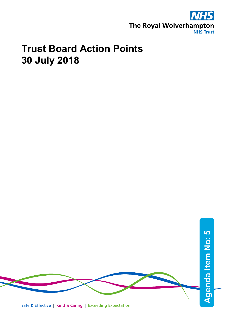

## **Trust Board Action Points 30 July 2018**



Safe & Effective | Kind & Caring | Exceeding Expectation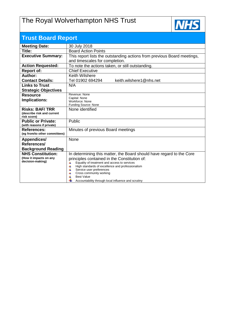## The Royal Wolverhampton NHS Trust



| <b>Trust Board Report</b>                  |                                                                                                            |  |  |  |  |
|--------------------------------------------|------------------------------------------------------------------------------------------------------------|--|--|--|--|
| <b>Meeting Date:</b>                       | 30 July 2018                                                                                               |  |  |  |  |
| Title:                                     | <b>Board Action Points</b>                                                                                 |  |  |  |  |
| <b>Executive Summary:</b>                  | This report lists the outstanding actions from previous Board meetings,                                    |  |  |  |  |
|                                            | and timescales for completion.                                                                             |  |  |  |  |
| <b>Action Requested:</b>                   | To note the actions taken, or still outstanding.                                                           |  |  |  |  |
| <b>Report of:</b>                          | <b>Chief Executive</b>                                                                                     |  |  |  |  |
| Author:                                    | Keith Wilshere                                                                                             |  |  |  |  |
| <b>Contact Details:</b>                    | keith.wilshere1@nhs.net<br>Tel 01902 694294                                                                |  |  |  |  |
| <b>Links to Trust</b>                      | N/A                                                                                                        |  |  |  |  |
| <b>Strategic Objectives</b>                |                                                                                                            |  |  |  |  |
| <b>Resource</b>                            | Revenue: None<br>Capital: None                                                                             |  |  |  |  |
| Implications:                              | Workforce: None                                                                                            |  |  |  |  |
|                                            | Funding Source: None                                                                                       |  |  |  |  |
| <b>Risks: BAF/TRR</b>                      | None identified                                                                                            |  |  |  |  |
| (describe risk and current<br>risk score)  |                                                                                                            |  |  |  |  |
| <b>Public or Private:</b>                  | Public                                                                                                     |  |  |  |  |
| (with reasons if private)                  |                                                                                                            |  |  |  |  |
| <b>References:</b>                         | Minutes of previous Board meetings                                                                         |  |  |  |  |
| (eg from/to other committees)              |                                                                                                            |  |  |  |  |
| Appendices/                                | None                                                                                                       |  |  |  |  |
| References/                                |                                                                                                            |  |  |  |  |
| <b>Background Reading</b>                  |                                                                                                            |  |  |  |  |
| <b>NHS Constitution:</b>                   | In determining this matter, the Board should have regard to the Core                                       |  |  |  |  |
| (How it impacts on any<br>decision-making) | principles contained in the Constitution of:                                                               |  |  |  |  |
|                                            | Equality of treatment and access to services<br>4<br>4<br>High standards of excellence and professionalism |  |  |  |  |
|                                            | 4<br>Service user preferences                                                                              |  |  |  |  |
|                                            | Cross community working<br>4<br><b>Best Value</b>                                                          |  |  |  |  |
|                                            | Accountability through local influence and scrutiny                                                        |  |  |  |  |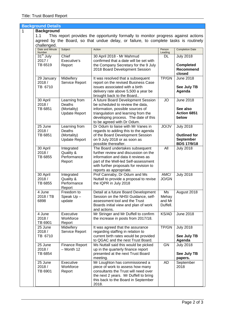## **Background Details**  1 **Background** 1.1 This report provides the opportunity formally to monitor progress against actions agreed by the Board, so that undue delay, or failure, to complete tasks is routinely challenged. Date and Minute Number Subject Reson Resonance Person Resonance Personal Person Leading Completion Date 31<sup>st</sup> July 2017 / TB 6519 Chief Executive's Report 30 April 2018 - Mr Mahmud confirmed that a date will be set with the Company Secretary for the 9 July 2018 Board Development Session DL July 2018 **Completed Recommend closed** 29 January 2018 / TB 6710 **Midwiferv** Service Report It was resolved that a subsequent report on the revised Business Case issues associated with a birth delivery rate above 5,500 a year be brought back to the Board.. TP/GN June 2018 **See July TB Agenda** 30 April 2018 / TB 6851 Learning from Deaths (Mortality) Update Report A future Board Development Session be scheduled to review the data, information, possible sources of triangulation and learning from the developing process. The date of this to be agreed with Dr Odum.  $JO$  June 2018 **See also Action 6851 below** 25 June 2018 / TB 6851 Learning from Deaths (Mortality) Update Report Dr Odum to liaise with Mr Vanes in regards to adding this to the agenda of the Board Development Session on 9 July 2018 or as soon as possible thereafter. JO/JV July 2018 **Outlined for September BDS 17/9/18** 30 April 2018 / TB 6855 **Integrated** Quality & **Performance** Report The Board undertakes subsequent further review and discussion on the information and data it reviews as part of the Well-led Self-assessment with further proposals for revision to reports as appropriate. All July 2018 30 April 2018 / TB 6855 Integrated Quality & **Performance** Report Prof Cannaby, Dr Odum and Ms Nuttall to provide a proposal to revise the IQPR in July 2018 AMC/ JO/GN July 2018 4 June 2018 / TB 6898 Freedom to Speak Up – update Detail at a future Board Development Session on the NHSI Guidance, selfassessment tool and the Trust Boards initial view and plan of work and actions. Ms Mehay and Mr Duffell. August 2018 4 June 2018 / TB 6901 **Executive Workforce** Report Mr Stringer and Mr Duffell to confirm the increase in posts from 2017/18. KS/AD June 2018 25 June 2018 / TB 6710 **Midwiferv** Service Report It was agreed that the assurance regarding staffing in relation to current birth rates would be provided to QGAC and the nest Trust Board. TP/GN July 2018 **See July TB Agenda** 25 June 2018 / TB 6854 Finance Report – Month 12 Ms Nuttall said this would be picked up in the quarterly finance report presented at the next Trust Board meeting. GN July 2018 **See July TB papers.** 25 June 2018 / TB 6901 **Executive Workforce** Report Mr Loughton has commissioned a piece of work to assess how many consultants the Trust will need over the next 2 years. Mr Duffell to bring this back to the Board in September AD September 2018

2018.